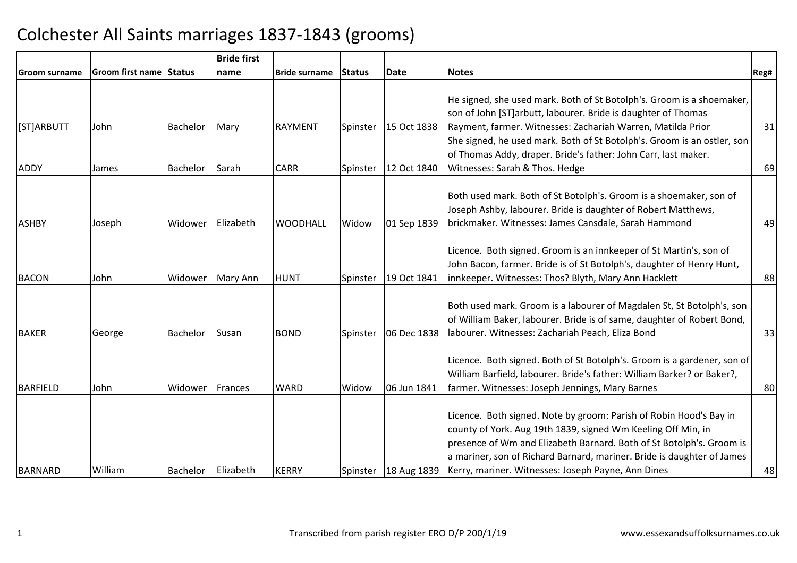|                |                         |               | <b>Bride first</b> |                      |          |             |                                                                                                                                            |      |
|----------------|-------------------------|---------------|--------------------|----------------------|----------|-------------|--------------------------------------------------------------------------------------------------------------------------------------------|------|
| Groom surname  | <b>Groom first name</b> | <b>Status</b> | name               | <b>Bride surname</b> | Status   | <b>Date</b> | <b>Notes</b>                                                                                                                               | Reg# |
|                |                         |               |                    |                      |          |             |                                                                                                                                            |      |
|                |                         |               |                    |                      |          |             | He signed, she used mark. Both of St Botolph's. Groom is a shoemaker,                                                                      |      |
|                |                         |               |                    |                      |          |             | son of John [ST]arbutt, labourer. Bride is daughter of Thomas                                                                              |      |
| [ST]ARBUTT     | John                    | Bachelor      | Mary               | <b>RAYMENT</b>       | Spinster | 15 Oct 1838 | Rayment, farmer. Witnesses: Zachariah Warren, Matilda Prior                                                                                | 31   |
|                |                         |               |                    |                      |          |             | She signed, he used mark. Both of St Botolph's. Groom is an ostler, son                                                                    |      |
|                |                         |               |                    |                      |          |             | of Thomas Addy, draper. Bride's father: John Carr, last maker.                                                                             |      |
| <b>ADDY</b>    | James                   | Bachelor      | Sarah              | <b>CARR</b>          | Spinster | 12 Oct 1840 | Witnesses: Sarah & Thos. Hedge                                                                                                             | 69   |
|                |                         |               |                    |                      |          |             |                                                                                                                                            |      |
|                |                         |               |                    |                      |          |             | Both used mark. Both of St Botolph's. Groom is a shoemaker, son of                                                                         |      |
|                |                         |               |                    |                      |          |             | Joseph Ashby, labourer. Bride is daughter of Robert Matthews,                                                                              |      |
| <b>ASHBY</b>   | Joseph                  | Widower       | Elizabeth          | <b>WOODHALL</b>      | Widow    | 01 Sep 1839 | brickmaker. Witnesses: James Cansdale, Sarah Hammond                                                                                       | 49   |
|                |                         |               |                    |                      |          |             |                                                                                                                                            |      |
|                |                         |               |                    |                      |          |             | Licence. Both signed. Groom is an innkeeper of St Martin's, son of                                                                         |      |
|                |                         |               |                    |                      |          |             | John Bacon, farmer. Bride is of St Botolph's, daughter of Henry Hunt,                                                                      |      |
| <b>BACON</b>   | John                    | Widower       | Mary Ann           | <b>HUNT</b>          | Spinster | 19 Oct 1841 | innkeeper. Witnesses: Thos? Blyth, Mary Ann Hacklett                                                                                       | 88   |
|                |                         |               |                    |                      |          |             |                                                                                                                                            |      |
|                |                         |               |                    |                      |          |             | Both used mark. Groom is a labourer of Magdalen St, St Botolph's, son                                                                      |      |
|                |                         |               |                    |                      |          |             | of William Baker, labourer. Bride is of same, daughter of Robert Bond,                                                                     |      |
| <b>BAKER</b>   | George                  | Bachelor      | Susan              | <b>BOND</b>          | Spinster | 06 Dec 1838 | labourer. Witnesses: Zachariah Peach, Eliza Bond                                                                                           | 33   |
|                |                         |               |                    |                      |          |             |                                                                                                                                            |      |
|                |                         |               |                    |                      |          |             | Licence. Both signed. Both of St Botolph's. Groom is a gardener, son of                                                                    |      |
|                |                         |               |                    |                      |          |             | William Barfield, labourer. Bride's father: William Barker? or Baker?,                                                                     |      |
| BARFIELD       | John                    | Widower       | Frances            | <b>WARD</b>          | Widow    | 06 Jun 1841 | farmer. Witnesses: Joseph Jennings, Mary Barnes                                                                                            | 80   |
|                |                         |               |                    |                      |          |             | Licence. Both signed. Note by groom: Parish of Robin Hood's Bay in                                                                         |      |
|                |                         |               |                    |                      |          |             | county of York. Aug 19th 1839, signed Wm Keeling Off Min, in                                                                               |      |
|                |                         |               |                    |                      |          |             | presence of Wm and Elizabeth Barnard. Both of St Botolph's. Groom is                                                                       |      |
|                |                         |               |                    |                      |          |             |                                                                                                                                            |      |
|                |                         |               |                    |                      |          |             |                                                                                                                                            |      |
| <b>BARNARD</b> | William                 | Bachelor      | Elizabeth          | <b>KERRY</b>         | Spinster |             | a mariner, son of Richard Barnard, mariner. Bride is daughter of James<br>18 Aug 1839   Kerry, mariner. Witnesses: Joseph Payne, Ann Dines | 48   |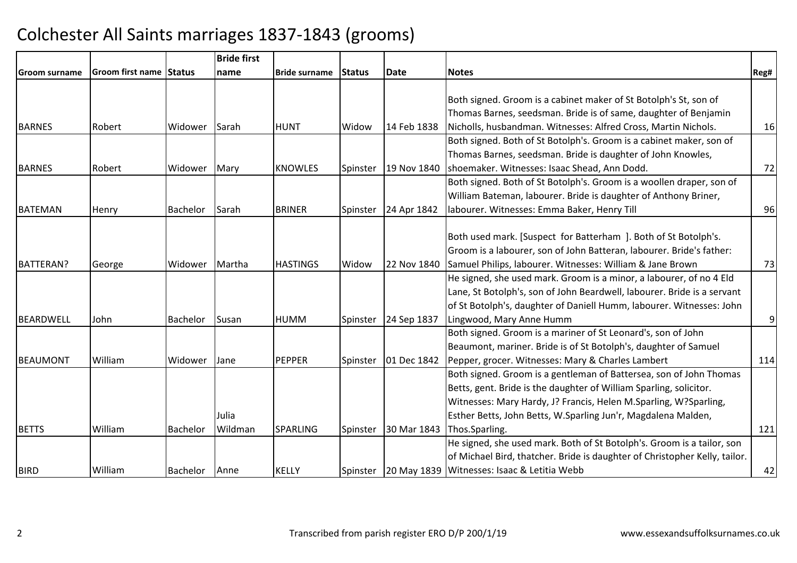|                      |                                |                 | <b>Bride first</b> |                      |          |             |                                                                            |      |
|----------------------|--------------------------------|-----------------|--------------------|----------------------|----------|-------------|----------------------------------------------------------------------------|------|
| <b>Groom surname</b> | <b>Groom first name Status</b> |                 | name               | <b>Bride surname</b> | Status   | <b>Date</b> | <b>Notes</b>                                                               | Reg# |
|                      |                                |                 |                    |                      |          |             |                                                                            |      |
|                      |                                |                 |                    |                      |          |             | Both signed. Groom is a cabinet maker of St Botolph's St, son of           |      |
|                      |                                |                 |                    |                      |          |             | Thomas Barnes, seedsman. Bride is of same, daughter of Benjamin            |      |
| <b>BARNES</b>        | Robert                         | Widower         | Sarah              | <b>HUNT</b>          | Widow    | 14 Feb 1838 | Nicholls, husbandman. Witnesses: Alfred Cross, Martin Nichols.             | 16   |
|                      |                                |                 |                    |                      |          |             | Both signed. Both of St Botolph's. Groom is a cabinet maker, son of        |      |
|                      |                                |                 |                    |                      |          |             | Thomas Barnes, seedsman. Bride is daughter of John Knowles,                |      |
| <b>BARNES</b>        | Robert                         | Widower         | Mary               | <b>KNOWLES</b>       | Spinster | 19 Nov 1840 | shoemaker. Witnesses: Isaac Shead, Ann Dodd.                               | 72   |
|                      |                                |                 |                    |                      |          |             | Both signed. Both of St Botolph's. Groom is a woollen draper, son of       |      |
|                      |                                |                 |                    |                      |          |             | William Bateman, labourer. Bride is daughter of Anthony Briner,            |      |
| BATEMAN              | Henry                          | <b>Bachelor</b> | Sarah              | <b>BRINER</b>        | Spinster | 24 Apr 1842 | labourer. Witnesses: Emma Baker, Henry Till                                | 96   |
|                      |                                |                 |                    |                      |          |             |                                                                            |      |
|                      |                                |                 |                    |                      |          |             | Both used mark. [Suspect for Batterham ]. Both of St Botolph's.            |      |
|                      |                                |                 |                    |                      |          |             | Groom is a labourer, son of John Batteran, labourer. Bride's father:       |      |
| <b>BATTERAN?</b>     | George                         | Widower         | Martha             | <b>HASTINGS</b>      | Widow    | 22 Nov 1840 | Samuel Philips, labourer. Witnesses: William & Jane Brown                  | 73   |
|                      |                                |                 |                    |                      |          |             | He signed, she used mark. Groom is a minor, a labourer, of no 4 Eld        |      |
|                      |                                |                 |                    |                      |          |             | Lane, St Botolph's, son of John Beardwell, labourer. Bride is a servant    |      |
|                      |                                |                 |                    |                      |          |             | of St Botolph's, daughter of Daniell Humm, labourer. Witnesses: John       |      |
| BEARDWELL            | John                           | Bachelor        | Susan              | <b>HUMM</b>          | Spinster | 24 Sep 1837 | Lingwood, Mary Anne Humm                                                   | 9    |
|                      |                                |                 |                    |                      |          |             | Both signed. Groom is a mariner of St Leonard's, son of John               |      |
|                      |                                |                 |                    |                      |          |             | Beaumont, mariner. Bride is of St Botolph's, daughter of Samuel            |      |
| BEAUMONT             | William                        | Widower         | Jane               | <b>PEPPER</b>        | Spinster | 01 Dec 1842 | Pepper, grocer. Witnesses: Mary & Charles Lambert                          | 114  |
|                      |                                |                 |                    |                      |          |             | Both signed. Groom is a gentleman of Battersea, son of John Thomas         |      |
|                      |                                |                 |                    |                      |          |             | Betts, gent. Bride is the daughter of William Sparling, solicitor.         |      |
|                      |                                |                 |                    |                      |          |             | Witnesses: Mary Hardy, J? Francis, Helen M.Sparling, W?Sparling,           |      |
|                      |                                |                 | Julia              |                      |          |             | Esther Betts, John Betts, W.Sparling Jun'r, Magdalena Malden,              |      |
| <b>BETTS</b>         | William                        | <b>Bachelor</b> | Wildman            | <b>SPARLING</b>      | Spinster | 30 Mar 1843 | Thos.Sparling.                                                             | 121  |
|                      |                                |                 |                    |                      |          |             | He signed, she used mark. Both of St Botolph's. Groom is a tailor, son     |      |
|                      |                                |                 |                    |                      |          |             | of Michael Bird, thatcher. Bride is daughter of Christopher Kelly, tailor. |      |
| BIRD                 | William                        | Bachelor        | Anne               | <b>KELLY</b>         | Spinster |             | 20 May 1839 Witnesses: Isaac & Letitia Webb                                | 42   |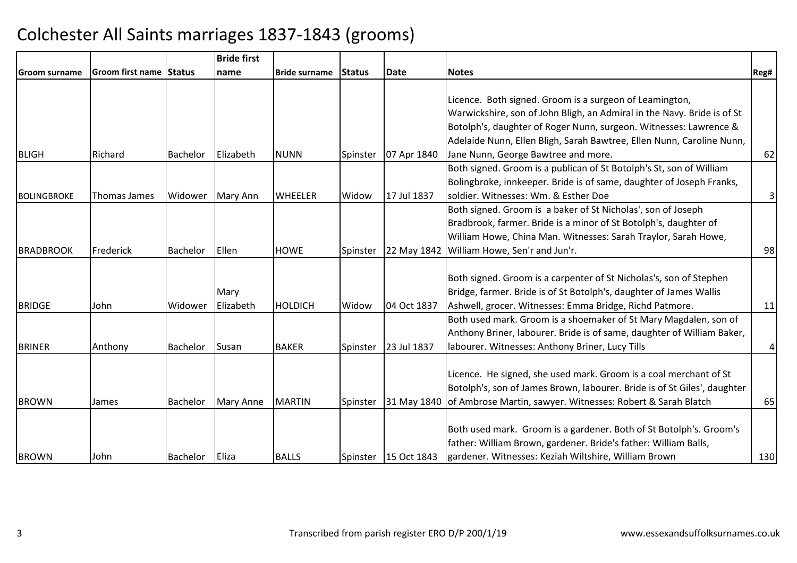|                    |                         |               | <b>Bride first</b> |                      |               |                        |                                                                          |      |
|--------------------|-------------------------|---------------|--------------------|----------------------|---------------|------------------------|--------------------------------------------------------------------------|------|
| lGroom surname     | <b>Groom first name</b> | <b>Status</b> | Iname              | <b>Bride surname</b> | <b>Status</b> | <b>Date</b>            | <b>Notes</b>                                                             | Reg# |
|                    |                         |               |                    |                      |               |                        |                                                                          |      |
|                    |                         |               |                    |                      |               |                        | Licence. Both signed. Groom is a surgeon of Leamington,                  |      |
|                    |                         |               |                    |                      |               |                        | Warwickshire, son of John Bligh, an Admiral in the Navy. Bride is of St  |      |
|                    |                         |               |                    |                      |               |                        | Botolph's, daughter of Roger Nunn, surgeon. Witnesses: Lawrence &        |      |
|                    |                         |               |                    |                      |               |                        | Adelaide Nunn, Ellen Bligh, Sarah Bawtree, Ellen Nunn, Caroline Nunn,    |      |
| <b>BLIGH</b>       | Richard                 | Bachelor      | <b>Elizabeth</b>   | <b>NUNN</b>          | Spinster      | 07 Apr 1840            | Jane Nunn, George Bawtree and more.                                      | 62   |
|                    |                         |               |                    |                      |               |                        | Both signed. Groom is a publican of St Botolph's St, son of William      |      |
|                    |                         |               |                    |                      |               |                        | Bolingbroke, innkeeper. Bride is of same, daughter of Joseph Franks,     |      |
| <b>BOLINGBROKE</b> | Thomas James            | Widower       | Mary Ann           | <b>WHEELER</b>       | Widow         | 17 Jul 1837            | soldier. Witnesses: Wm. & Esther Doe                                     | 3    |
|                    |                         |               |                    |                      |               |                        | Both signed. Groom is a baker of St Nicholas', son of Joseph             |      |
|                    |                         |               |                    |                      |               |                        | Bradbrook, farmer. Bride is a minor of St Botolph's, daughter of         |      |
|                    |                         |               |                    |                      |               |                        | William Howe, China Man. Witnesses: Sarah Traylor, Sarah Howe,           |      |
| <b>BRADBROOK</b>   | Frederick               | Bachelor      | Ellen              | <b>HOWE</b>          | Spinster      | 22 May 1842            | William Howe, Sen'r and Jun'r.                                           | 98   |
|                    |                         |               |                    |                      |               |                        |                                                                          |      |
|                    |                         |               |                    |                      |               |                        | Both signed. Groom is a carpenter of St Nicholas's, son of Stephen       |      |
|                    |                         |               | Mary               |                      |               |                        | Bridge, farmer. Bride is of St Botolph's, daughter of James Wallis       |      |
| <b>BRIDGE</b>      | John                    | Widower       | Elizabeth          | <b>HOLDICH</b>       | Widow         | 04 Oct 1837            | Ashwell, grocer. Witnesses: Emma Bridge, Richd Patmore.                  | 11   |
|                    |                         |               |                    |                      |               |                        | Both used mark. Groom is a shoemaker of St Mary Magdalen, son of         |      |
|                    |                         |               |                    |                      |               |                        | Anthony Briner, labourer. Bride is of same, daughter of William Baker,   |      |
| <b>BRINER</b>      | Anthony                 | Bachelor      | Susan              | <b>BAKER</b>         | Spinster      | 23 Jul 1837            | labourer. Witnesses: Anthony Briner, Lucy Tills                          | 4    |
|                    |                         |               |                    |                      |               |                        |                                                                          |      |
|                    |                         |               |                    |                      |               |                        | Licence. He signed, she used mark. Groom is a coal merchant of St        |      |
|                    |                         |               |                    |                      |               |                        | Botolph's, son of James Brown, labourer. Bride is of St Giles', daughter |      |
| <b>BROWN</b>       | James                   | Bachelor      | Mary Anne          | <b>MARTIN</b>        | Spinster      |                        | 31 May 1840 of Ambrose Martin, sawyer. Witnesses: Robert & Sarah Blatch  | 65   |
|                    |                         |               |                    |                      |               |                        |                                                                          |      |
|                    |                         |               |                    |                      |               |                        | Both used mark. Groom is a gardener. Both of St Botolph's. Groom's       |      |
|                    |                         |               |                    |                      |               |                        | father: William Brown, gardener. Bride's father: William Balls,          |      |
| <b>BROWN</b>       | John                    | Bachelor      | Eliza              | <b>BALLS</b>         |               | Spinster   15 Oct 1843 | gardener. Witnesses: Keziah Wiltshire, William Brown                     | 130  |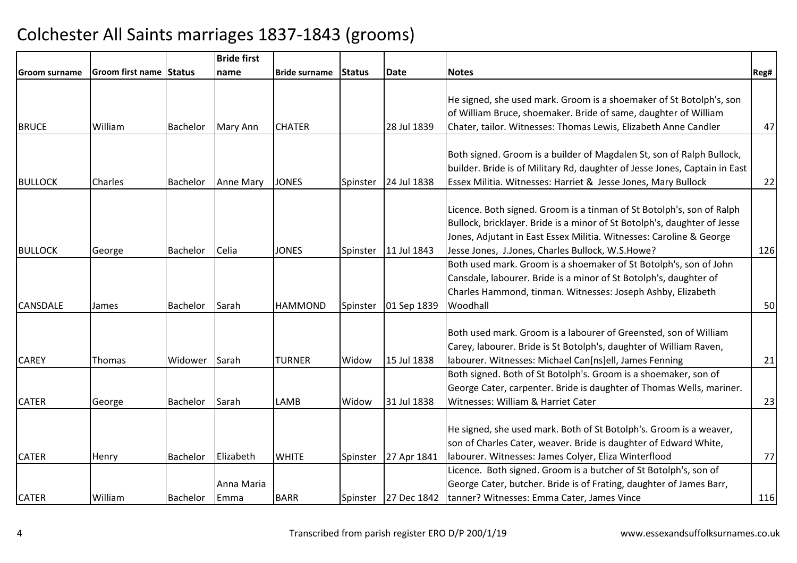|                 |                         |          | <b>Bride first</b> |                |                |             |                                                                                                            |      |
|-----------------|-------------------------|----------|--------------------|----------------|----------------|-------------|------------------------------------------------------------------------------------------------------------|------|
| Groom surname   | Groom first name Status |          | name               | Bride surname  | <b>IStatus</b> | <b>Date</b> | <b>Notes</b>                                                                                               | Reg# |
|                 |                         |          |                    |                |                |             |                                                                                                            |      |
|                 |                         |          |                    |                |                |             | He signed, she used mark. Groom is a shoemaker of St Botolph's, son                                        |      |
|                 |                         |          |                    |                |                |             | of William Bruce, shoemaker. Bride of same, daughter of William                                            |      |
| <b>BRUCE</b>    | William                 | Bachelor | Mary Ann           | <b>CHATER</b>  |                | 28 Jul 1839 | Chater, tailor. Witnesses: Thomas Lewis, Elizabeth Anne Candler                                            | 47   |
|                 |                         |          |                    |                |                |             |                                                                                                            |      |
|                 |                         |          |                    |                |                |             | Both signed. Groom is a builder of Magdalen St, son of Ralph Bullock,                                      |      |
|                 |                         |          |                    |                |                |             | builder. Bride is of Military Rd, daughter of Jesse Jones, Captain in East                                 |      |
| <b>BULLOCK</b>  | Charles                 | Bachelor | Anne Mary          | <b>JONES</b>   | Spinster       | 24 Jul 1838 | Essex Militia. Witnesses: Harriet & Jesse Jones, Mary Bullock                                              | 22   |
|                 |                         |          |                    |                |                |             |                                                                                                            |      |
|                 |                         |          |                    |                |                |             | Licence. Both signed. Groom is a tinman of St Botolph's, son of Ralph                                      |      |
|                 |                         |          |                    |                |                |             | Bullock, bricklayer. Bride is a minor of St Botolph's, daughter of Jesse                                   |      |
|                 |                         |          |                    |                |                |             | Jones, Adjutant in East Essex Militia. Witnesses: Caroline & George                                        |      |
| <b>BULLOCK</b>  | George                  | Bachelor | Celia              | <b>JONES</b>   | Spinster       | 11 Jul 1843 | Jesse Jones, J.Jones, Charles Bullock, W.S.Howe?                                                           | 126  |
|                 |                         |          |                    |                |                |             | Both used mark. Groom is a shoemaker of St Botolph's, son of John                                          |      |
|                 |                         |          |                    |                |                |             | Cansdale, labourer. Bride is a minor of St Botolph's, daughter of                                          |      |
|                 |                         |          |                    |                |                |             | Charles Hammond, tinman. Witnesses: Joseph Ashby, Elizabeth                                                |      |
| <b>CANSDALE</b> | James                   | Bachelor | Sarah              | <b>HAMMOND</b> | Spinster       | 01 Sep 1839 | Woodhall                                                                                                   | 50   |
|                 |                         |          |                    |                |                |             | Both used mark. Groom is a labourer of Greensted, son of William                                           |      |
|                 |                         |          |                    |                |                |             | Carey, labourer. Bride is St Botolph's, daughter of William Raven,                                         |      |
|                 |                         |          |                    |                |                |             |                                                                                                            |      |
| <b>CAREY</b>    | Thomas                  | Widower  | Sarah              | <b>TURNER</b>  | Widow          | 15 Jul 1838 | Iabourer. Witnesses: Michael Can[ns]ell, James Fenning                                                     | 21   |
|                 |                         |          |                    |                |                |             | Both signed. Both of St Botolph's. Groom is a shoemaker, son of                                            |      |
|                 |                         |          |                    |                |                | 31 Jul 1838 | George Cater, carpenter. Bride is daughter of Thomas Wells, mariner.<br>Witnesses: William & Harriet Cater |      |
| <b>CATER</b>    | George                  | Bachelor | Sarah              | LAMB           | Widow          |             |                                                                                                            | 23   |
|                 |                         |          |                    |                |                |             | He signed, she used mark. Both of St Botolph's. Groom is a weaver,                                         |      |
|                 |                         |          |                    |                |                |             | son of Charles Cater, weaver. Bride is daughter of Edward White,                                           |      |
| <b>CATER</b>    | Henry                   | Bachelor | Elizabeth          | <b>WHITE</b>   | Spinster       | 27 Apr 1841 | labourer. Witnesses: James Colyer, Eliza Winterflood                                                       | 77   |
|                 |                         |          |                    |                |                |             | Licence. Both signed. Groom is a butcher of St Botolph's, son of                                           |      |
|                 |                         |          | Anna Maria         |                |                |             | George Cater, butcher. Bride is of Frating, daughter of James Barr,                                        |      |
| <b>CATER</b>    | William                 | Bachelor | Emma               | <b>BARR</b>    |                |             | Spinster 27 Dec 1842 tanner? Witnesses: Emma Cater, James Vince                                            | 116  |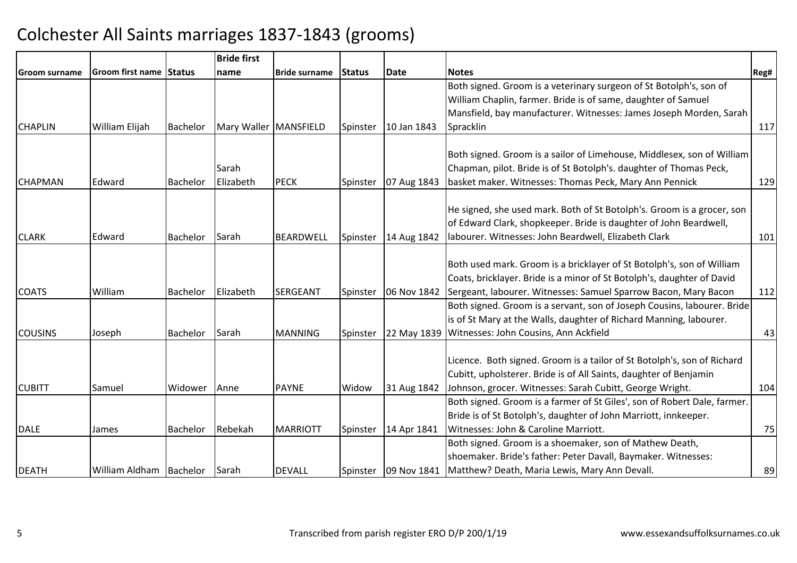|                      |                         |                 | <b>Bride first</b>      |                      |               |             |                                                                          |      |
|----------------------|-------------------------|-----------------|-------------------------|----------------------|---------------|-------------|--------------------------------------------------------------------------|------|
| <b>Groom surname</b> | Groom first name Status |                 | name                    | <b>Bride surname</b> | <b>Status</b> | <b>Date</b> | <b>Notes</b>                                                             | Reg# |
|                      |                         |                 |                         |                      |               |             | Both signed. Groom is a veterinary surgeon of St Botolph's, son of       |      |
|                      |                         |                 |                         |                      |               |             | William Chaplin, farmer. Bride is of same, daughter of Samuel            |      |
|                      |                         |                 |                         |                      |               |             | Mansfield, bay manufacturer. Witnesses: James Joseph Morden, Sarah       |      |
| <b>CHAPLIN</b>       | William Elijah          | <b>Bachelor</b> | Mary Waller   MANSFIELD |                      | Spinster      | 10 Jan 1843 | Spracklin                                                                | 117  |
|                      |                         |                 |                         |                      |               |             |                                                                          |      |
|                      |                         |                 |                         |                      |               |             | Both signed. Groom is a sailor of Limehouse, Middlesex, son of William   |      |
|                      |                         |                 | Sarah                   |                      |               |             | Chapman, pilot. Bride is of St Botolph's. daughter of Thomas Peck,       |      |
| <b>CHAPMAN</b>       | Edward                  | <b>Bachelor</b> | Elizabeth               | <b>PECK</b>          | Spinster      | 07 Aug 1843 | basket maker. Witnesses: Thomas Peck, Mary Ann Pennick                   | 129  |
|                      |                         |                 |                         |                      |               |             | He signed, she used mark. Both of St Botolph's. Groom is a grocer, son   |      |
|                      |                         |                 |                         |                      |               |             | of Edward Clark, shopkeeper. Bride is daughter of John Beardwell,        |      |
| <b>CLARK</b>         | Edward                  | <b>Bachelor</b> | Sarah                   | <b>BEARDWELL</b>     | Spinster      | 14 Aug 1842 | labourer. Witnesses: John Beardwell, Elizabeth Clark                     | 101  |
|                      |                         |                 |                         |                      |               |             |                                                                          |      |
|                      |                         |                 |                         |                      |               |             | Both used mark. Groom is a bricklayer of St Botolph's, son of William    |      |
|                      |                         |                 |                         |                      |               |             | Coats, bricklayer. Bride is a minor of St Botolph's, daughter of David   |      |
| <b>COATS</b>         | William                 | Bachelor        | Elizabeth               | SERGEANT             | Spinster      | 06 Nov 1842 | Sergeant, labourer. Witnesses: Samuel Sparrow Bacon, Mary Bacon          | 112  |
|                      |                         |                 |                         |                      |               |             | Both signed. Groom is a servant, son of Joseph Cousins, labourer. Bride  |      |
|                      |                         |                 |                         |                      |               |             | is of St Mary at the Walls, daughter of Richard Manning, labourer.       |      |
| <b>COUSINS</b>       | Joseph                  | Bachelor        | Sarah                   | <b>MANNING</b>       | Spinster      |             | 22 May 1839 Witnesses: John Cousins, Ann Ackfield                        | 43   |
|                      |                         |                 |                         |                      |               |             |                                                                          |      |
|                      |                         |                 |                         |                      |               |             | Licence. Both signed. Groom is a tailor of St Botolph's, son of Richard  |      |
|                      |                         |                 |                         |                      |               |             | Cubitt, upholsterer. Bride is of All Saints, daughter of Benjamin        |      |
| <b>CUBITT</b>        | Samuel                  | Widower         | Anne                    | <b>PAYNE</b>         | Widow         | 31 Aug 1842 | Johnson, grocer. Witnesses: Sarah Cubitt, George Wright.                 | 104  |
|                      |                         |                 |                         |                      |               |             | Both signed. Groom is a farmer of St Giles', son of Robert Dale, farmer. |      |
|                      |                         |                 |                         |                      |               |             | Bride is of St Botolph's, daughter of John Marriott, innkeeper.          |      |
| <b>DALE</b>          | James                   | Bachelor        | Rebekah                 | <b>MARRIOTT</b>      | Spinster      | 14 Apr 1841 | Witnesses: John & Caroline Marriott.                                     | 75   |
|                      |                         |                 |                         |                      |               |             | Both signed. Groom is a shoemaker, son of Mathew Death,                  |      |
|                      |                         |                 |                         |                      |               |             | shoemaker. Bride's father: Peter Davall, Baymaker. Witnesses:            |      |
| <b>DEATH</b>         | William Aldham Bachelor |                 | Sarah                   | <b>DEVALL</b>        | Spinster      |             | 09 Nov 1841   Matthew? Death, Maria Lewis, Mary Ann Devall.              | 89   |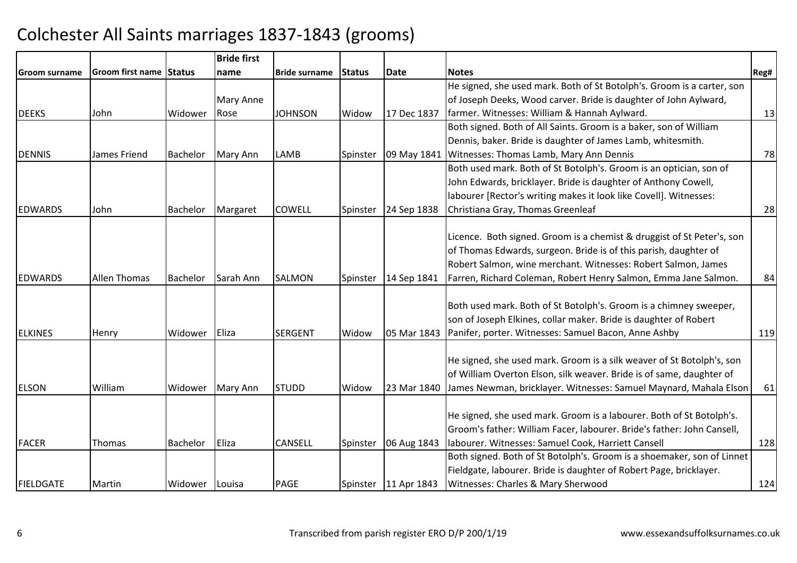|                  |                         |                 | <b>Bride first</b> |                      |               |                        |                                                                               |      |
|------------------|-------------------------|-----------------|--------------------|----------------------|---------------|------------------------|-------------------------------------------------------------------------------|------|
| Groom surname    | Groom first name Status |                 | name               | <b>Bride surname</b> | <b>Status</b> | <b>Date</b>            | <b>Notes</b>                                                                  | Reg# |
|                  |                         |                 |                    |                      |               |                        | He signed, she used mark. Both of St Botolph's. Groom is a carter, son        |      |
|                  |                         |                 | Mary Anne          |                      |               |                        | of Joseph Deeks, Wood carver. Bride is daughter of John Aylward,              |      |
| <b>DEEKS</b>     | John                    | Widower         | Rose               | JOHNSON              | Widow         | 17 Dec 1837            | farmer. Witnesses: William & Hannah Aylward.                                  | 13   |
|                  |                         |                 |                    |                      |               |                        | Both signed. Both of All Saints. Groom is a baker, son of William             |      |
|                  |                         |                 |                    |                      |               |                        | Dennis, baker. Bride is daughter of James Lamb, whitesmith.                   |      |
| <b>DENNIS</b>    | James Friend            | <b>Bachelor</b> | Mary Ann           | LAMB                 | Spinster      | 09 May 1841            | Witnesses: Thomas Lamb, Mary Ann Dennis                                       | 78   |
|                  |                         |                 |                    |                      |               |                        | Both used mark. Both of St Botolph's. Groom is an optician, son of            |      |
|                  |                         |                 |                    |                      |               |                        | John Edwards, bricklayer. Bride is daughter of Anthony Cowell,                |      |
|                  |                         |                 |                    |                      |               |                        | labourer [Rector's writing makes it look like Covell]. Witnesses:             |      |
| <b>EDWARDS</b>   | John                    | Bachelor        | Margaret           | <b>COWELL</b>        | Spinster      | 24 Sep 1838            | Christiana Gray, Thomas Greenleaf                                             | 28   |
|                  |                         |                 |                    |                      |               |                        |                                                                               |      |
|                  |                         |                 |                    |                      |               |                        | Licence. Both signed. Groom is a chemist & druggist of St Peter's, son        |      |
|                  |                         |                 |                    |                      |               |                        | of Thomas Edwards, surgeon. Bride is of this parish, daughter of              |      |
|                  |                         |                 |                    |                      |               |                        | Robert Salmon, wine merchant. Witnesses: Robert Salmon, James                 |      |
| <b>EDWARDS</b>   | <b>Allen Thomas</b>     | <b>Bachelor</b> | Sarah Ann          | <b>SALMON</b>        | Spinster      | 14 Sep 1841            | Farren, Richard Coleman, Robert Henry Salmon, Emma Jane Salmon.               | 84   |
|                  |                         |                 |                    |                      |               |                        |                                                                               |      |
|                  |                         |                 |                    |                      |               |                        | Both used mark. Both of St Botolph's. Groom is a chimney sweeper,             |      |
|                  |                         |                 |                    |                      |               |                        | son of Joseph Elkines, collar maker. Bride is daughter of Robert              |      |
| <b>ELKINES</b>   | Henry                   | Widower         | Eliza              | <b>SERGENT</b>       | Widow         | 05 Mar 1843            | Panifer, porter. Witnesses: Samuel Bacon, Anne Ashby                          | 119  |
|                  |                         |                 |                    |                      |               |                        |                                                                               |      |
|                  |                         |                 |                    |                      |               |                        | He signed, she used mark. Groom is a silk weaver of St Botolph's, son         |      |
|                  |                         |                 |                    |                      |               |                        | of William Overton Elson, silk weaver. Bride is of same, daughter of          |      |
| <b>ELSON</b>     | William                 | Widower         | <b>Mary Ann</b>    | <b>STUDD</b>         | Widow         |                        | 23 Mar 1840 James Newman, bricklayer. Witnesses: Samuel Maynard, Mahala Elson | 61   |
|                  |                         |                 |                    |                      |               |                        |                                                                               |      |
|                  |                         |                 |                    |                      |               |                        | He signed, she used mark. Groom is a labourer. Both of St Botolph's.          |      |
|                  |                         |                 |                    |                      |               |                        | Groom's father: William Facer, labourer. Bride's father: John Cansell,        |      |
| <b>FACER</b>     | <b>Thomas</b>           | <b>Bachelor</b> | Eliza              | <b>CANSELL</b>       | Spinster      | 06 Aug 1843            | Iabourer. Witnesses: Samuel Cook, Harriett Cansell                            | 128  |
|                  |                         |                 |                    |                      |               |                        | Both signed. Both of St Botolph's. Groom is a shoemaker, son of Linnet        |      |
|                  |                         |                 |                    |                      |               |                        | Fieldgate, labourer. Bride is daughter of Robert Page, bricklayer.            |      |
| <b>FIELDGATE</b> | Martin                  | Widower Louisa  |                    | PAGE                 |               | Spinster   11 Apr 1843 | Witnesses: Charles & Mary Sherwood                                            | 124  |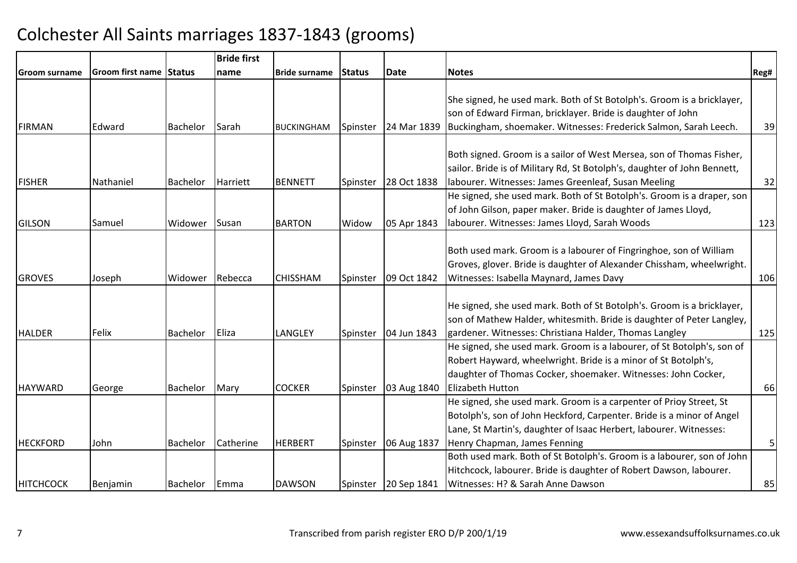|                  |                         |          | <b>Bride first</b> |                      |          |                      |                                                                                                                                                                                                                                                   |                |
|------------------|-------------------------|----------|--------------------|----------------------|----------|----------------------|---------------------------------------------------------------------------------------------------------------------------------------------------------------------------------------------------------------------------------------------------|----------------|
| Groom surname    | Groom first name Status |          | name               | <b>Bride surname</b> | Status   | <b>Date</b>          | <b>Notes</b>                                                                                                                                                                                                                                      | Reg#           |
| <b>FIRMAN</b>    | Edward                  | Bachelor | <b>Sarah</b>       | <b>BUCKINGHAM</b>    | Spinster | 24 Mar 1839          | She signed, he used mark. Both of St Botolph's. Groom is a bricklayer,<br>son of Edward Firman, bricklayer. Bride is daughter of John<br>Buckingham, shoemaker. Witnesses: Frederick Salmon, Sarah Leech.                                         | 39             |
| <b>FISHER</b>    | Nathaniel               | Bachelor | Harriett           | <b>BENNETT</b>       | Spinster | 28 Oct 1838          | Both signed. Groom is a sailor of West Mersea, son of Thomas Fisher,<br>sailor. Bride is of Military Rd, St Botolph's, daughter of John Bennett,<br>labourer. Witnesses: James Greenleaf, Susan Meeling                                           | 32             |
| <b>GILSON</b>    | Samuel                  | Widower  | <b>Susan</b>       | <b>BARTON</b>        | Widow    | 05 Apr 1843          | He signed, she used mark. Both of St Botolph's. Groom is a draper, son<br>of John Gilson, paper maker. Bride is daughter of James Lloyd,<br>labourer. Witnesses: James Lloyd, Sarah Woods                                                         | 123            |
| <b>GROVES</b>    | Joseph                  | Widower  | Rebecca            | <b>CHISSHAM</b>      | Spinster | 09 Oct 1842          | Both used mark. Groom is a labourer of Fingringhoe, son of William<br>Groves, glover. Bride is daughter of Alexander Chissham, wheelwright.<br>Witnesses: Isabella Maynard, James Davy                                                            | 106            |
| <b>HALDER</b>    | <b>Felix</b>            | Bachelor | <b>IEliza</b>      | <b>LANGLEY</b>       | Spinster | 04 Jun 1843          | He signed, she used mark. Both of St Botolph's. Groom is a bricklayer,<br>son of Mathew Halder, whitesmith. Bride is daughter of Peter Langley,<br>gardener. Witnesses: Christiana Halder, Thomas Langley                                         | 125            |
| <b>HAYWARD</b>   | George                  | Bachelor | Mary               | <b>COCKER</b>        | Spinster | 03 Aug 1840          | He signed, she used mark. Groom is a labourer, of St Botolph's, son of<br>Robert Hayward, wheelwright. Bride is a minor of St Botolph's,<br>daughter of Thomas Cocker, shoemaker. Witnesses: John Cocker,<br><b>Elizabeth Hutton</b>              | 66             |
| <b>HECKFORD</b>  | John                    | Bachelor | Catherine          | <b>HERBERT</b>       | Spinster | 06 Aug 1837          | He signed, she used mark. Groom is a carpenter of Prioy Street, St<br>Botolph's, son of John Heckford, Carpenter. Bride is a minor of Angel<br>Lane, St Martin's, daughter of Isaac Herbert, labourer. Witnesses:<br>Henry Chapman, James Fenning | 5 <sup>1</sup> |
| <b>HITCHCOCK</b> | Benjamin                | Bachelor | <b>Emma</b>        | <b>DAWSON</b>        |          | Spinster 20 Sep 1841 | Both used mark. Both of St Botolph's. Groom is a labourer, son of John<br>Hitchcock, labourer. Bride is daughter of Robert Dawson, labourer.<br>Witnesses: H? & Sarah Anne Dawson                                                                 | 85             |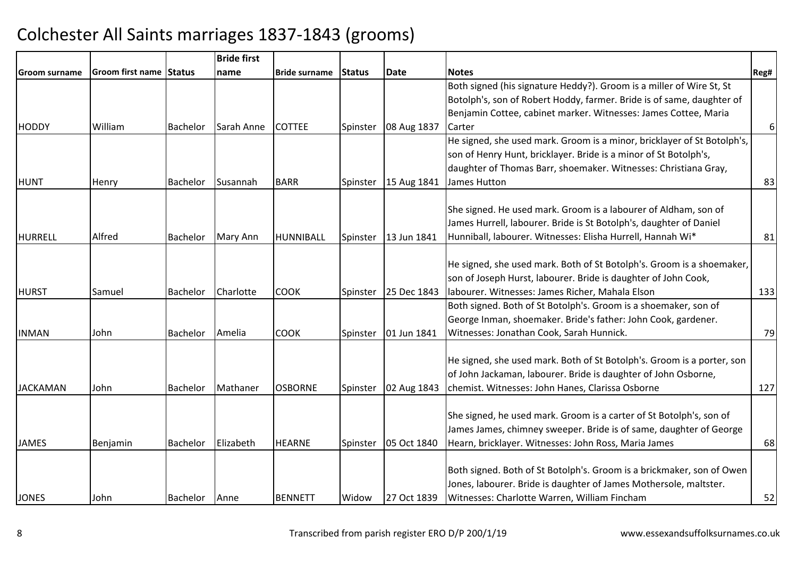|                 |                         |                 | <b>Bride first</b> |                      |          |             |                                                                         |          |
|-----------------|-------------------------|-----------------|--------------------|----------------------|----------|-------------|-------------------------------------------------------------------------|----------|
| Groom surname   | Groom first name Status |                 | name               | <b>Bride surname</b> | Status   | Date        | <b>Notes</b>                                                            | Reg#     |
|                 |                         |                 |                    |                      |          |             | Both signed (his signature Heddy?). Groom is a miller of Wire St, St    |          |
|                 |                         |                 |                    |                      |          |             | Botolph's, son of Robert Hoddy, farmer. Bride is of same, daughter of   |          |
|                 |                         |                 |                    |                      |          |             | Benjamin Cottee, cabinet marker. Witnesses: James Cottee, Maria         |          |
| <b>HODDY</b>    | William                 | Bachelor        | Sarah Anne         | <b>COTTEE</b>        | Spinster | 08 Aug 1837 | Carter                                                                  | $6 \mid$ |
|                 |                         |                 |                    |                      |          |             | He signed, she used mark. Groom is a minor, bricklayer of St Botolph's, |          |
|                 |                         |                 |                    |                      |          |             | son of Henry Hunt, bricklayer. Bride is a minor of St Botolph's,        |          |
|                 |                         |                 |                    |                      |          |             | daughter of Thomas Barr, shoemaker. Witnesses: Christiana Gray,         |          |
| <b>HUNT</b>     | Henry                   | Bachelor        | Susannah           | <b>BARR</b>          | Spinster | 15 Aug 1841 | James Hutton                                                            | 83       |
|                 |                         |                 |                    |                      |          |             |                                                                         |          |
|                 |                         |                 |                    |                      |          |             | She signed. He used mark. Groom is a labourer of Aldham, son of         |          |
|                 |                         |                 |                    |                      |          |             | James Hurrell, labourer. Bride is St Botolph's, daughter of Daniel      |          |
| <b>HURRELL</b>  | Alfred                  | Bachelor        | Mary Ann           | HUNNIBALL            | Spinster | 13 Jun 1841 | Hunniball, labourer. Witnesses: Elisha Hurrell, Hannah Wi*              | 81       |
|                 |                         |                 |                    |                      |          |             |                                                                         |          |
|                 |                         |                 |                    |                      |          |             | He signed, she used mark. Both of St Botolph's. Groom is a shoemaker,   |          |
|                 |                         |                 |                    |                      |          |             | son of Joseph Hurst, labourer. Bride is daughter of John Cook,          |          |
| <b>HURST</b>    | Samuel                  | <b>Bachelor</b> | Charlotte          | <b>COOK</b>          | Spinster | 25 Dec 1843 | labourer. Witnesses: James Richer, Mahala Elson                         | 133      |
|                 |                         |                 |                    |                      |          |             | Both signed. Both of St Botolph's. Groom is a shoemaker, son of         |          |
|                 |                         |                 |                    |                      |          |             | George Inman, shoemaker. Bride's father: John Cook, gardener.           |          |
| <b>INMAN</b>    | John                    | Bachelor        | Amelia             | <b>COOK</b>          | Spinster | 01 Jun 1841 | Witnesses: Jonathan Cook, Sarah Hunnick.                                | 79       |
|                 |                         |                 |                    |                      |          |             |                                                                         |          |
|                 |                         |                 |                    |                      |          |             | He signed, she used mark. Both of St Botolph's. Groom is a porter, son  |          |
|                 |                         |                 |                    |                      |          |             | of John Jackaman, labourer. Bride is daughter of John Osborne,          |          |
| <b>JACKAMAN</b> | John                    | Bachelor        | Mathaner           | <b>OSBORNE</b>       | Spinster | 02 Aug 1843 | chemist. Witnesses: John Hanes, Clarissa Osborne                        | 127      |
|                 |                         |                 |                    |                      |          |             |                                                                         |          |
|                 |                         |                 |                    |                      |          |             | She signed, he used mark. Groom is a carter of St Botolph's, son of     |          |
|                 |                         |                 |                    |                      |          |             | James James, chimney sweeper. Bride is of same, daughter of George      |          |
| <b>JAMES</b>    | Benjamin                | Bachelor        | Elizabeth          | <b>HEARNE</b>        | Spinster | 05 Oct 1840 | Hearn, bricklayer. Witnesses: John Ross, Maria James                    | 68       |
|                 |                         |                 |                    |                      |          |             |                                                                         |          |
|                 |                         |                 |                    |                      |          |             | Both signed. Both of St Botolph's. Groom is a brickmaker, son of Owen   |          |
|                 |                         |                 |                    |                      |          |             | Jones, labourer. Bride is daughter of James Mothersole, maltster.       |          |
| <b>JONES</b>    | John                    | Bachelor Anne   |                    | <b>BENNETT</b>       | Widow    | 27 Oct 1839 | Witnesses: Charlotte Warren, William Fincham                            | 52       |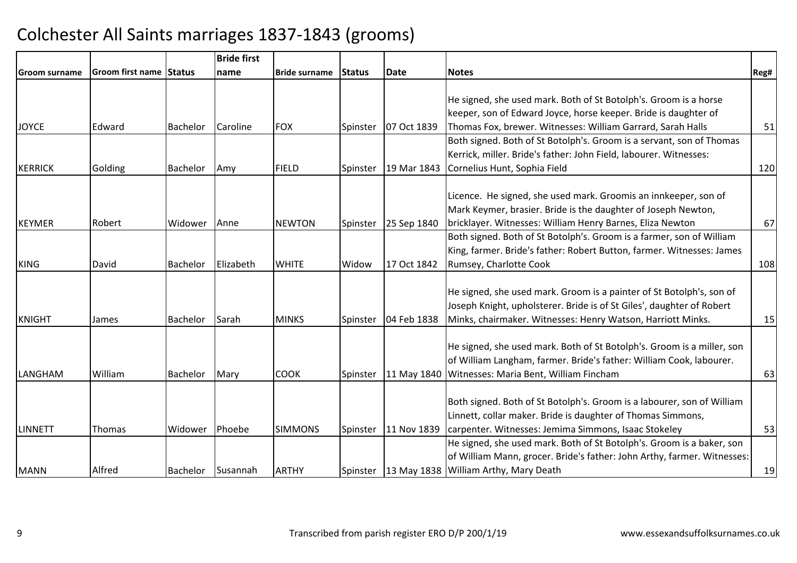|                      |                                |                   | <b>Bride first</b> |                      |          |             |                                                                         |      |
|----------------------|--------------------------------|-------------------|--------------------|----------------------|----------|-------------|-------------------------------------------------------------------------|------|
| <b>Groom surname</b> | <b>Groom first name Status</b> |                   | name               | <b>Bride surname</b> | Status   | Date        | <b>Notes</b>                                                            | Reg# |
|                      |                                |                   |                    |                      |          |             |                                                                         |      |
|                      |                                |                   |                    |                      |          |             | He signed, she used mark. Both of St Botolph's. Groom is a horse        |      |
|                      |                                |                   |                    |                      |          |             | keeper, son of Edward Joyce, horse keeper. Bride is daughter of         |      |
| <b>JOYCE</b>         | Edward                         | Bachelor          | Caroline           | <b>FOX</b>           | Spinster | 07 Oct 1839 | Thomas Fox, brewer. Witnesses: William Garrard, Sarah Halls             | 51   |
|                      |                                |                   |                    |                      |          |             | Both signed. Both of St Botolph's. Groom is a servant, son of Thomas    |      |
|                      |                                |                   |                    |                      |          |             | Kerrick, miller. Bride's father: John Field, labourer. Witnesses:       |      |
| KERRICK              | Golding                        | <b>Bachelor</b>   | Amy                | <b>FIELD</b>         | Spinster | 19 Mar 1843 | Cornelius Hunt, Sophia Field                                            | 120  |
|                      |                                |                   |                    |                      |          |             |                                                                         |      |
|                      |                                |                   |                    |                      |          |             | Licence. He signed, she used mark. Groomis an innkeeper, son of         |      |
|                      |                                |                   |                    |                      |          |             | Mark Keymer, brasier. Bride is the daughter of Joseph Newton,           |      |
| KEYMER               | Robert                         | Widower           | Anne               | <b>NEWTON</b>        | Spinster | 25 Sep 1840 | bricklayer. Witnesses: William Henry Barnes, Eliza Newton               | 67   |
|                      |                                |                   |                    |                      |          |             | Both signed. Both of St Botolph's. Groom is a farmer, son of William    |      |
|                      |                                |                   |                    |                      |          |             | King, farmer. Bride's father: Robert Button, farmer. Witnesses: James   |      |
| <b>KING</b>          | David                          | <b>Bachelor</b>   | Elizabeth          | <b>WHITE</b>         | Widow    | 17 Oct 1842 | Rumsey, Charlotte Cook                                                  | 108  |
|                      |                                |                   |                    |                      |          |             |                                                                         |      |
|                      |                                |                   |                    |                      |          |             | He signed, she used mark. Groom is a painter of St Botolph's, son of    |      |
|                      |                                |                   |                    |                      |          |             | Joseph Knight, upholsterer. Bride is of St Giles', daughter of Robert   |      |
| KNIGHT               | James                          | Bachelor          | Sarah              | <b>MINKS</b>         | Spinster | 04 Feb 1838 | Minks, chairmaker. Witnesses: Henry Watson, Harriott Minks.             | 15   |
|                      |                                |                   |                    |                      |          |             |                                                                         |      |
|                      |                                |                   |                    |                      |          |             | He signed, she used mark. Both of St Botolph's. Groom is a miller, son  |      |
|                      |                                |                   |                    |                      |          |             | of William Langham, farmer. Bride's father: William Cook, labourer.     |      |
| LANGHAM              | William                        | Bachelor          | Mary               | <b>COOK</b>          | Spinster |             | 11 May 1840   Witnesses: Maria Bent, William Fincham                    | 63   |
|                      |                                |                   |                    |                      |          |             |                                                                         |      |
|                      |                                |                   |                    |                      |          |             | Both signed. Both of St Botolph's. Groom is a labourer, son of William  |      |
|                      |                                |                   |                    |                      |          |             | Linnett, collar maker. Bride is daughter of Thomas Simmons,             |      |
| LINNETT              | Thomas                         | Widower           | Phoebe             | <b>SIMMONS</b>       | Spinster | 11 Nov 1839 | carpenter. Witnesses: Jemima Simmons, Isaac Stokeley                    | 53   |
|                      |                                |                   |                    |                      |          |             | He signed, she used mark. Both of St Botolph's. Groom is a baker, son   |      |
|                      |                                |                   |                    |                      |          |             | of William Mann, grocer. Bride's father: John Arthy, farmer. Witnesses: |      |
| <b>MANN</b>          | Alfred                         | Bachelor Susannah |                    | <b>ARTHY</b>         | Spinster |             | 13 May 1838 William Arthy, Mary Death                                   | 19   |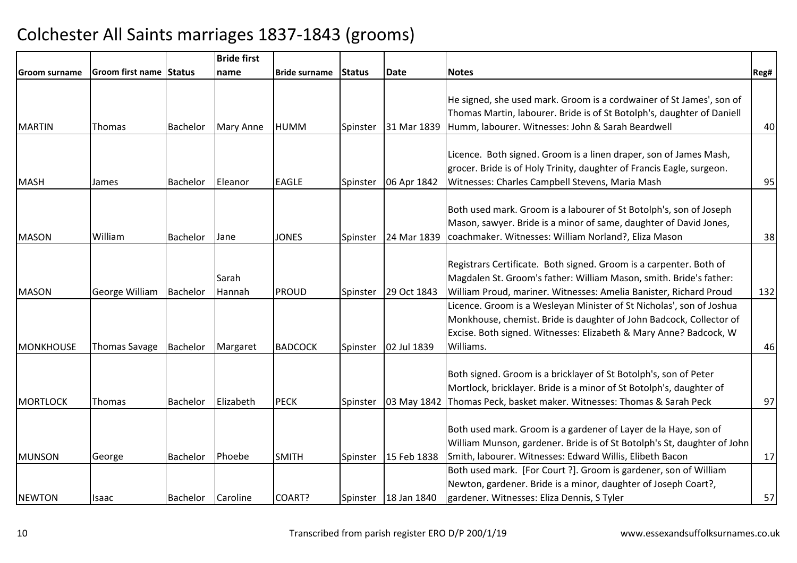|                 |                         |          | <b>Bride first</b> |                      |          |                        |                                                                         |      |
|-----------------|-------------------------|----------|--------------------|----------------------|----------|------------------------|-------------------------------------------------------------------------|------|
| Groom surname   | Groom first name Status |          | name               | <b>Bride surname</b> | Status   | Date                   | <b>Notes</b>                                                            | Reg# |
|                 |                         |          |                    |                      |          |                        |                                                                         |      |
|                 |                         |          |                    |                      |          |                        | He signed, she used mark. Groom is a cordwainer of St James', son of    |      |
|                 |                         |          |                    |                      |          |                        | Thomas Martin, labourer. Bride is of St Botolph's, daughter of Daniell  |      |
| <b>MARTIN</b>   | Thomas                  | Bachelor | Mary Anne          | <b>HUMM</b>          | Spinster | 31 Mar 1839            | Humm, labourer. Witnesses: John & Sarah Beardwell                       | 40   |
|                 |                         |          |                    |                      |          |                        |                                                                         |      |
|                 |                         |          |                    |                      |          |                        | Licence. Both signed. Groom is a linen draper, son of James Mash,       |      |
|                 |                         |          |                    |                      |          |                        | grocer. Bride is of Holy Trinity, daughter of Francis Eagle, surgeon.   |      |
| MASH            | James                   | Bachelor | Eleanor            | <b>EAGLE</b>         | Spinster | 06 Apr 1842            | Witnesses: Charles Campbell Stevens, Maria Mash                         | 95   |
|                 |                         |          |                    |                      |          |                        |                                                                         |      |
|                 |                         |          |                    |                      |          |                        | Both used mark. Groom is a labourer of St Botolph's, son of Joseph      |      |
|                 |                         |          |                    |                      |          |                        | Mason, sawyer. Bride is a minor of same, daughter of David Jones,       |      |
| <b>MASON</b>    | William                 | Bachelor | Jane               | <b>JONES</b>         | Spinster | 24 Mar 1839            | coachmaker. Witnesses: William Norland?, Eliza Mason                    | 38   |
|                 |                         |          |                    |                      |          |                        |                                                                         |      |
|                 |                         |          |                    |                      |          |                        | Registrars Certificate. Both signed. Groom is a carpenter. Both of      |      |
|                 |                         |          | Sarah              |                      |          |                        | Magdalen St. Groom's father: William Mason, smith. Bride's father:      |      |
| <b>MASON</b>    | George William          | Bachelor | Hannah             | PROUD                | Spinster | 29 Oct 1843            | William Proud, mariner. Witnesses: Amelia Banister, Richard Proud       | 132  |
|                 |                         |          |                    |                      |          |                        | Licence. Groom is a Wesleyan Minister of St Nicholas', son of Joshua    |      |
|                 |                         |          |                    |                      |          |                        | Monkhouse, chemist. Bride is daughter of John Badcock, Collector of     |      |
|                 |                         |          |                    |                      |          |                        | Excise. Both signed. Witnesses: Elizabeth & Mary Anne? Badcock, W       |      |
| MONKHOUSE       | <b>Thomas Savage</b>    | Bachelor | Margaret           | <b>BADCOCK</b>       | Spinster | 02 Jul 1839            | Williams.                                                               | 46   |
|                 |                         |          |                    |                      |          |                        |                                                                         |      |
|                 |                         |          |                    |                      |          |                        | Both signed. Groom is a bricklayer of St Botolph's, son of Peter        |      |
|                 |                         |          |                    |                      |          |                        | Mortlock, bricklayer. Bride is a minor of St Botolph's, daughter of     |      |
| <b>MORTLOCK</b> | Thomas                  | Bachelor | Elizabeth          | <b>PECK</b>          | Spinster | 03 May 1842            | Thomas Peck, basket maker. Witnesses: Thomas & Sarah Peck               | 97   |
|                 |                         |          |                    |                      |          |                        |                                                                         |      |
|                 |                         |          |                    |                      |          |                        | Both used mark. Groom is a gardener of Layer de la Haye, son of         |      |
|                 |                         |          |                    |                      |          |                        | William Munson, gardener. Bride is of St Botolph's St, daughter of John |      |
| <b>MUNSON</b>   | George                  | Bachelor | Phoebe             | <b>SMITH</b>         | Spinster | 15 Feb 1838            | Smith, labourer. Witnesses: Edward Willis, Elibeth Bacon                | 17   |
|                 |                         |          |                    |                      |          |                        | Both used mark. [For Court ?]. Groom is gardener, son of William        |      |
|                 |                         |          |                    |                      |          |                        | Newton, gardener. Bride is a minor, daughter of Joseph Coart?,          |      |
| <b>NEWTON</b>   | Isaac                   | Bachelor | Caroline           | COART?               |          | Spinster   18 Jan 1840 | gardener. Witnesses: Eliza Dennis, S Tyler                              | 57   |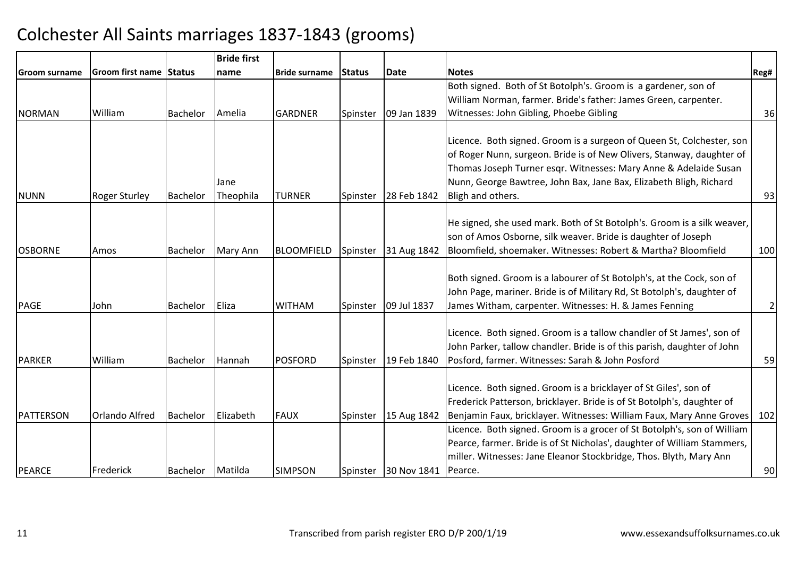|                |                                |                 | <b>Bride first</b> |                      |               |                                |                                                                                                                                                                                                                                                                                          |              |
|----------------|--------------------------------|-----------------|--------------------|----------------------|---------------|--------------------------------|------------------------------------------------------------------------------------------------------------------------------------------------------------------------------------------------------------------------------------------------------------------------------------------|--------------|
| lGroom surname | <b>Groom first name Status</b> |                 | name               | <b>Bride surname</b> | <b>Status</b> | <b>Date</b>                    | <b>Notes</b>                                                                                                                                                                                                                                                                             | Reg#         |
|                |                                |                 |                    |                      |               |                                | Both signed. Both of St Botolph's. Groom is a gardener, son of                                                                                                                                                                                                                           |              |
|                |                                |                 |                    |                      |               |                                | William Norman, farmer. Bride's father: James Green, carpenter.                                                                                                                                                                                                                          |              |
| NORMAN         | William                        | <b>Bachelor</b> | Amelia             | <b>GARDNER</b>       | Spinster      | 09 Jan 1839                    | Witnesses: John Gibling, Phoebe Gibling                                                                                                                                                                                                                                                  | 36           |
|                |                                |                 | Jane               |                      |               |                                | Licence. Both signed. Groom is a surgeon of Queen St, Colchester, son<br>of Roger Nunn, surgeon. Bride is of New Olivers, Stanway, daughter of<br>Thomas Joseph Turner esqr. Witnesses: Mary Anne & Adelaide Susan<br>Nunn, George Bawtree, John Bax, Jane Bax, Elizabeth Bligh, Richard |              |
| <b>NUNN</b>    | <b>Roger Sturley</b>           | <b>Bachelor</b> | Theophila          | <b>TURNER</b>        | Spinster      | 28 Feb 1842                    | Bligh and others.                                                                                                                                                                                                                                                                        | 93           |
| <b>OSBORNE</b> | Amos                           | <b>Bachelor</b> | Mary Ann           | <b>BLOOMFIELD</b>    | Spinster      | 31 Aug 1842                    | He signed, she used mark. Both of St Botolph's. Groom is a silk weaver,<br>son of Amos Osborne, silk weaver. Bride is daughter of Joseph<br>Bloomfield, shoemaker. Witnesses: Robert & Martha? Bloomfield                                                                                | 100          |
| PAGE           | John                           | <b>Bachelor</b> | Eliza              | <b>WITHAM</b>        | Spinster      | 09 Jul 1837                    | Both signed. Groom is a labourer of St Botolph's, at the Cock, son of<br>John Page, mariner. Bride is of Military Rd, St Botolph's, daughter of<br>James Witham, carpenter. Witnesses: H. & James Fenning                                                                                | $\mathbf{2}$ |
| PARKER         | William                        | <b>Bachelor</b> | Hannah             | <b>POSFORD</b>       | Spinster      | 19 Feb 1840                    | Licence. Both signed. Groom is a tallow chandler of St James', son of<br>John Parker, tallow chandler. Bride is of this parish, daughter of John<br>Posford, farmer. Witnesses: Sarah & John Posford                                                                                     | 59           |
| PATTERSON      | <b>Orlando Alfred</b>          | <b>Bachelor</b> | Elizabeth          | <b>FAUX</b>          | Spinster      | 15 Aug 1842                    | Licence. Both signed. Groom is a bricklayer of St Giles', son of<br>Frederick Patterson, bricklayer. Bride is of St Botolph's, daughter of<br>Benjamin Faux, bricklayer. Witnesses: William Faux, Mary Anne Groves                                                                       | 102          |
| PEARCE         | Frederick                      | Bachelor        | Matilda            | <b>SIMPSON</b>       |               | Spinster 30 Nov 1841   Pearce. | Licence. Both signed. Groom is a grocer of St Botolph's, son of William<br>Pearce, farmer. Bride is of St Nicholas', daughter of William Stammers,<br>miller. Witnesses: Jane Eleanor Stockbridge, Thos. Blyth, Mary Ann                                                                 | 90           |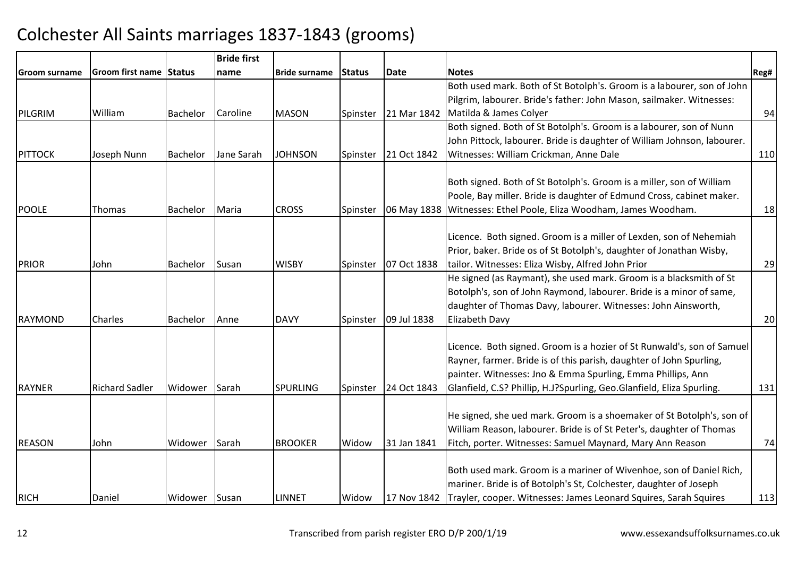|                |                         |                 | <b>Bride first</b> |                      |          |             |                                                                                |      |
|----------------|-------------------------|-----------------|--------------------|----------------------|----------|-------------|--------------------------------------------------------------------------------|------|
| Groom surname  | Groom first name Status |                 | name               | <b>Bride surname</b> | Status   | <b>Date</b> | <b>Notes</b>                                                                   | Reg# |
|                |                         |                 |                    |                      |          |             | Both used mark. Both of St Botolph's. Groom is a labourer, son of John         |      |
|                |                         |                 |                    |                      |          |             | Pilgrim, labourer. Bride's father: John Mason, sailmaker. Witnesses:           |      |
| PILGRIM        | William                 | Bachelor        | <b>Caroline</b>    | <b>MASON</b>         | Spinster | 21 Mar 1842 | Matilda & James Colyer                                                         | 94   |
|                |                         |                 |                    |                      |          |             | Both signed. Both of St Botolph's. Groom is a labourer, son of Nunn            |      |
|                |                         |                 |                    |                      |          |             | John Pittock, labourer. Bride is daughter of William Johnson, labourer.        |      |
| <b>PITTOCK</b> | Joseph Nunn             | Bachelor        | Jane Sarah         | <b>JOHNSON</b>       | Spinster | 21 Oct 1842 | Witnesses: William Crickman, Anne Dale                                         | 110  |
|                |                         |                 |                    |                      |          |             |                                                                                |      |
|                |                         |                 |                    |                      |          |             | Both signed. Both of St Botolph's. Groom is a miller, son of William           |      |
|                |                         |                 |                    |                      |          |             | Poole, Bay miller. Bride is daughter of Edmund Cross, cabinet maker.           |      |
| <b>POOLE</b>   | <b>Thomas</b>           | Bachelor        | Maria              | <b>CROSS</b>         | Spinster | 06 May 1838 | Witnesses: Ethel Poole, Eliza Woodham, James Woodham.                          | 18   |
|                |                         |                 |                    |                      |          |             | Licence. Both signed. Groom is a miller of Lexden, son of Nehemiah             |      |
|                |                         |                 |                    |                      |          |             | Prior, baker. Bride os of St Botolph's, daughter of Jonathan Wisby,            |      |
| PRIOR          | John                    | <b>Bachelor</b> | Susan              | <b>WISBY</b>         | Spinster | 07 Oct 1838 | tailor. Witnesses: Eliza Wisby, Alfred John Prior                              | 29   |
|                |                         |                 |                    |                      |          |             | He signed (as Raymant), she used mark. Groom is a blacksmith of St             |      |
|                |                         |                 |                    |                      |          |             | Botolph's, son of John Raymond, labourer. Bride is a minor of same,            |      |
|                |                         |                 |                    |                      |          |             | daughter of Thomas Davy, labourer. Witnesses: John Ainsworth,                  |      |
| <b>RAYMOND</b> | Charles                 | Bachelor        | Anne               | <b>DAVY</b>          | Spinster | 09 Jul 1838 | Elizabeth Davy                                                                 | 20   |
|                |                         |                 |                    |                      |          |             |                                                                                |      |
|                |                         |                 |                    |                      |          |             | Licence. Both signed. Groom is a hozier of St Runwald's, son of Samuel         |      |
|                |                         |                 |                    |                      |          |             | Rayner, farmer. Bride is of this parish, daughter of John Spurling,            |      |
|                |                         |                 |                    |                      |          |             | painter. Witnesses: Jno & Emma Spurling, Emma Phillips, Ann                    |      |
| <b>RAYNER</b>  | <b>Richard Sadler</b>   | Widower         | Sarah              | <b>SPURLING</b>      | Spinster | 24 Oct 1843 | Glanfield, C.S? Phillip, H.J?Spurling, Geo.Glanfield, Eliza Spurling.          | 131  |
|                |                         |                 |                    |                      |          |             |                                                                                |      |
|                |                         |                 |                    |                      |          |             | He signed, she ued mark. Groom is a shoemaker of St Botolph's, son of          |      |
|                |                         |                 |                    |                      |          |             | William Reason, labourer. Bride is of St Peter's, daughter of Thomas           |      |
| <b>REASON</b>  | John                    | Widower         | Sarah              | <b>BROOKER</b>       | Widow    | 31 Jan 1841 | Fitch, porter. Witnesses: Samuel Maynard, Mary Ann Reason                      | 74   |
|                |                         |                 |                    |                      |          |             |                                                                                |      |
|                |                         |                 |                    |                      |          |             | Both used mark. Groom is a mariner of Wivenhoe, son of Daniel Rich,            |      |
|                |                         |                 |                    |                      |          |             | mariner. Bride is of Botolph's St, Colchester, daughter of Joseph              |      |
| <b>RICH</b>    | Daniel                  | Widower Susan   |                    | <b>LINNET</b>        | Widow    |             | 17 Nov 1842   Trayler, cooper. Witnesses: James Leonard Squires, Sarah Squires | 113  |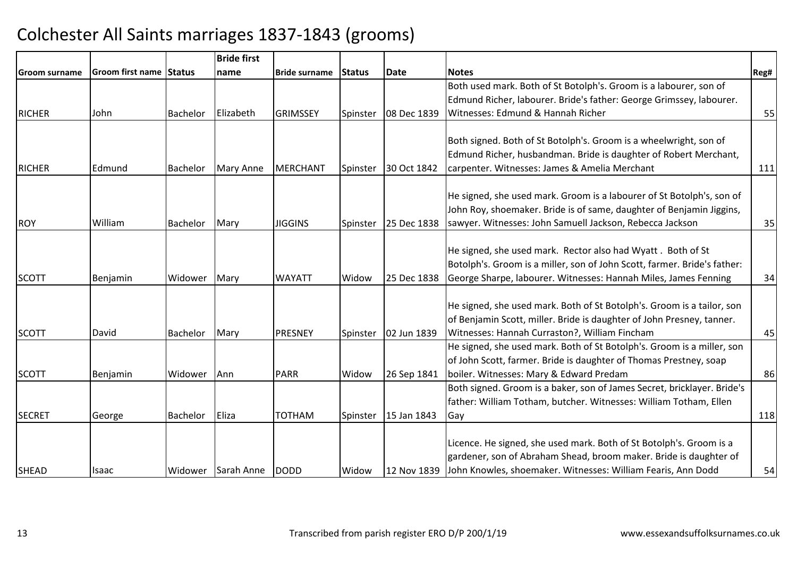|                      |                                |                 | <b>Bride first</b> |                      |          |             |                                                                                                                                         |      |
|----------------------|--------------------------------|-----------------|--------------------|----------------------|----------|-------------|-----------------------------------------------------------------------------------------------------------------------------------------|------|
| <b>Groom surname</b> | <b>Groom first name Status</b> |                 | name               | <b>Bride surname</b> | Status   | <b>Date</b> | <b>Notes</b>                                                                                                                            | Reg# |
|                      |                                |                 |                    |                      |          |             | Both used mark. Both of St Botolph's. Groom is a labourer, son of                                                                       |      |
|                      |                                |                 |                    |                      |          |             | Edmund Richer, labourer. Bride's father: George Grimssey, labourer.                                                                     |      |
| <b>RICHER</b>        | John                           | <b>Bachelor</b> | Elizabeth          | <b>GRIMSSEY</b>      | Spinster | 08 Dec 1839 | Witnesses: Edmund & Hannah Richer                                                                                                       | 55   |
|                      |                                |                 |                    |                      |          |             |                                                                                                                                         |      |
|                      |                                |                 |                    |                      |          |             | Both signed. Both of St Botolph's. Groom is a wheelwright, son of                                                                       |      |
|                      |                                |                 |                    |                      |          |             | Edmund Richer, husbandman. Bride is daughter of Robert Merchant,                                                                        |      |
| <b>RICHER</b>        | Edmund                         | <b>Bachelor</b> | Mary Anne          | <b>MERCHANT</b>      | Spinster | 30 Oct 1842 | carpenter. Witnesses: James & Amelia Merchant                                                                                           | 111  |
|                      |                                |                 |                    |                      |          |             |                                                                                                                                         |      |
|                      |                                |                 |                    |                      |          |             | He signed, she used mark. Groom is a labourer of St Botolph's, son of                                                                   |      |
|                      |                                |                 |                    |                      |          |             | John Roy, shoemaker. Bride is of same, daughter of Benjamin Jiggins,                                                                    |      |
| ROY                  | William                        | Bachelor        | Mary               | <b>JIGGINS</b>       | Spinster | 25 Dec 1838 | sawyer. Witnesses: John Samuell Jackson, Rebecca Jackson                                                                                | 35   |
|                      |                                |                 |                    |                      |          |             |                                                                                                                                         |      |
|                      |                                |                 |                    |                      |          |             | He signed, she used mark. Rector also had Wyatt. Both of St<br>Botolph's. Groom is a miller, son of John Scott, farmer. Bride's father: |      |
| <b>SCOTT</b>         |                                |                 |                    |                      |          |             |                                                                                                                                         |      |
|                      | Benjamin                       | Widower         | Mary               | <b>WAYATT</b>        | Widow    | 25 Dec 1838 | George Sharpe, labourer. Witnesses: Hannah Miles, James Fenning                                                                         | 34   |
|                      |                                |                 |                    |                      |          |             | He signed, she used mark. Both of St Botolph's. Groom is a tailor, son                                                                  |      |
|                      |                                |                 |                    |                      |          |             | of Benjamin Scott, miller. Bride is daughter of John Presney, tanner.                                                                   |      |
| <b>SCOTT</b>         | David                          | Bachelor        | Mary               | PRESNEY              | Spinster | 02 Jun 1839 | Witnesses: Hannah Curraston?, William Fincham                                                                                           | 45   |
|                      |                                |                 |                    |                      |          |             | He signed, she used mark. Both of St Botolph's. Groom is a miller, son                                                                  |      |
|                      |                                |                 |                    |                      |          |             | of John Scott, farmer. Bride is daughter of Thomas Prestney, soap                                                                       |      |
| <b>SCOTT</b>         | Benjamin                       | Widower         | Ann                | <b>PARR</b>          | Widow    | 26 Sep 1841 | boiler. Witnesses: Mary & Edward Predam                                                                                                 | 86   |
|                      |                                |                 |                    |                      |          |             | Both signed. Groom is a baker, son of James Secret, bricklayer. Bride's                                                                 |      |
|                      |                                |                 |                    |                      |          |             | father: William Totham, butcher. Witnesses: William Totham, Ellen                                                                       |      |
| <b>SECRET</b>        | George                         | Bachelor        | Eliza              | <b>TOTHAM</b>        | Spinster | 15 Jan 1843 | Gay                                                                                                                                     | 118  |
|                      |                                |                 |                    |                      |          |             |                                                                                                                                         |      |
|                      |                                |                 |                    |                      |          |             | Licence. He signed, she used mark. Both of St Botolph's. Groom is a                                                                     |      |
|                      |                                |                 |                    |                      |          |             | gardener, son of Abraham Shead, broom maker. Bride is daughter of                                                                       |      |
| SHEAD                | Isaac                          |                 | Widower Sarah Anne | <b>DODD</b>          | Widow    | 12 Nov 1839 | John Knowles, shoemaker. Witnesses: William Fearis, Ann Dodd                                                                            | 54   |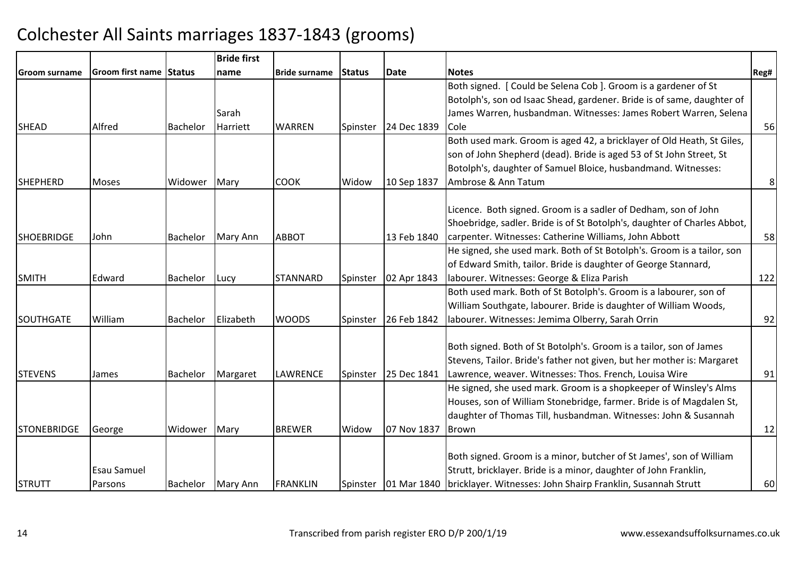|                    |                         |                 | <b>Bride first</b> |                      |          |             |                                                                                       |      |
|--------------------|-------------------------|-----------------|--------------------|----------------------|----------|-------------|---------------------------------------------------------------------------------------|------|
| Groom surname      | Groom first name Status |                 | name               | <b>Bride surname</b> | Status   | <b>Date</b> | <b>Notes</b>                                                                          | Reg# |
|                    |                         |                 |                    |                      |          |             | Both signed. [Could be Selena Cob ]. Groom is a gardener of St                        |      |
|                    |                         |                 |                    |                      |          |             | Botolph's, son od Isaac Shead, gardener. Bride is of same, daughter of                |      |
|                    |                         |                 | Sarah              |                      |          |             | James Warren, husbandman. Witnesses: James Robert Warren, Selena                      |      |
| <b>SHEAD</b>       | Alfred                  | <b>Bachelor</b> | Harriett           | <b>WARREN</b>        | Spinster | 24 Dec 1839 | Cole                                                                                  | 56   |
|                    |                         |                 |                    |                      |          |             | Both used mark. Groom is aged 42, a bricklayer of Old Heath, St Giles,                |      |
|                    |                         |                 |                    |                      |          |             | son of John Shepherd (dead). Bride is aged 53 of St John Street, St                   |      |
|                    |                         |                 |                    |                      |          |             | Botolph's, daughter of Samuel Bloice, husbandmand. Witnesses:                         |      |
| <b>SHEPHERD</b>    | Moses                   | Widower         | Mary               | <b>COOK</b>          | Widow    | 10 Sep 1837 | Ambrose & Ann Tatum                                                                   | 8    |
|                    |                         |                 |                    |                      |          |             |                                                                                       |      |
|                    |                         |                 |                    |                      |          |             | Licence. Both signed. Groom is a sadler of Dedham, son of John                        |      |
|                    |                         |                 |                    |                      |          |             | Shoebridge, sadler. Bride is of St Botolph's, daughter of Charles Abbot,              |      |
| <b>SHOEBRIDGE</b>  | John                    | Bachelor        | <b>Mary Ann</b>    | <b>ABBOT</b>         |          | 13 Feb 1840 | carpenter. Witnesses: Catherine Williams, John Abbott                                 | 58   |
|                    |                         |                 |                    |                      |          |             | He signed, she used mark. Both of St Botolph's. Groom is a tailor, son                |      |
|                    |                         |                 |                    |                      |          |             | of Edward Smith, tailor. Bride is daughter of George Stannard,                        |      |
| <b>SMITH</b>       | Edward                  | <b>Bachelor</b> | Lucy               | <b>STANNARD</b>      | Spinster | 02 Apr 1843 | labourer. Witnesses: George & Eliza Parish                                            | 122  |
|                    |                         |                 |                    |                      |          |             | Both used mark. Both of St Botolph's. Groom is a labourer, son of                     |      |
|                    |                         |                 |                    |                      |          |             | William Southgate, labourer. Bride is daughter of William Woods,                      |      |
| <b>SOUTHGATE</b>   | William                 | <b>Bachelor</b> | Elizabeth          | <b>WOODS</b>         | Spinster | 26 Feb 1842 | labourer. Witnesses: Jemima Olberry, Sarah Orrin                                      | 92   |
|                    |                         |                 |                    |                      |          |             |                                                                                       |      |
|                    |                         |                 |                    |                      |          |             | Both signed. Both of St Botolph's. Groom is a tailor, son of James                    |      |
|                    |                         |                 |                    |                      |          |             | Stevens, Tailor. Bride's father not given, but her mother is: Margaret                |      |
| <b>STEVENS</b>     | James                   | <b>Bachelor</b> | Margaret           | LAWRENCE             | Spinster | 25 Dec 1841 | Lawrence, weaver. Witnesses: Thos. French, Louisa Wire                                | 91   |
|                    |                         |                 |                    |                      |          |             | He signed, she used mark. Groom is a shopkeeper of Winsley's Alms                     |      |
|                    |                         |                 |                    |                      |          |             | Houses, son of William Stonebridge, farmer. Bride is of Magdalen St,                  |      |
|                    |                         |                 |                    |                      |          |             | daughter of Thomas Till, husbandman. Witnesses: John & Susannah                       |      |
| <b>STONEBRIDGE</b> | George                  | Widower         | Mary               | <b>BREWER</b>        | Widow    | 07 Nov 1837 | Brown                                                                                 | 12   |
|                    |                         |                 |                    |                      |          |             |                                                                                       |      |
|                    |                         |                 |                    |                      |          |             | Both signed. Groom is a minor, butcher of St James', son of William                   |      |
|                    | Esau Samuel             |                 |                    |                      |          |             | Strutt, bricklayer. Bride is a minor, daughter of John Franklin,                      |      |
| <b>STRUTT</b>      | Parsons                 | Bachelor        | Mary Ann           | <b>FRANKLIN</b>      |          |             | Spinster   01 Mar 1840   bricklayer. Witnesses: John Shairp Franklin, Susannah Strutt | 60   |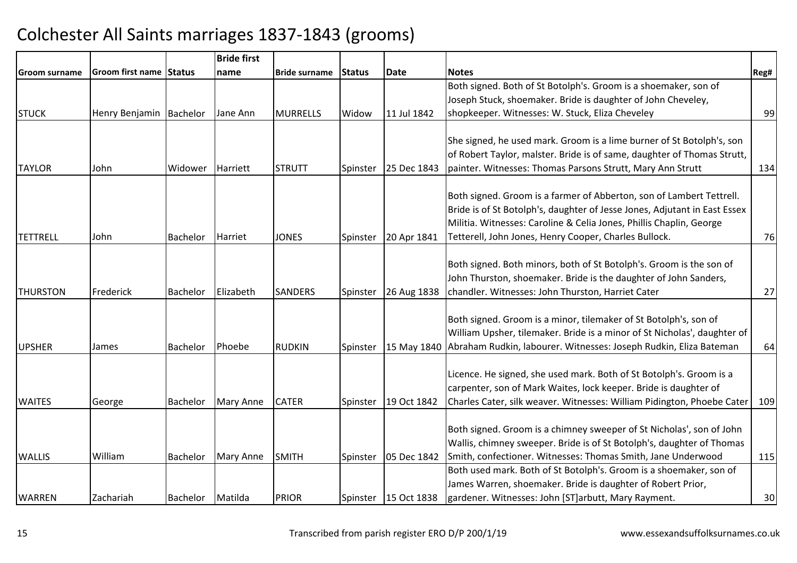|                 |                         |                    | <b>Bride first</b> |                      |          |                      |                                                                               |      |
|-----------------|-------------------------|--------------------|--------------------|----------------------|----------|----------------------|-------------------------------------------------------------------------------|------|
| Groom surname   | Groom first name Status |                    | name               | <b>Bride surname</b> | Status   | <b>Date</b>          | <b>Notes</b>                                                                  | Reg# |
|                 |                         |                    |                    |                      |          |                      | Both signed. Both of St Botolph's. Groom is a shoemaker, son of               |      |
|                 |                         |                    |                    |                      |          |                      | Joseph Stuck, shoemaker. Bride is daughter of John Cheveley,                  |      |
| <b>STUCK</b>    | Henry Benjamin          | <b>Bachelor</b>    | Jane Ann           | <b>MURRELLS</b>      | Widow    | 11 Jul 1842          | shopkeeper. Witnesses: W. Stuck, Eliza Cheveley                               | 99   |
|                 |                         |                    |                    |                      |          |                      |                                                                               |      |
|                 |                         |                    |                    |                      |          |                      | She signed, he used mark. Groom is a lime burner of St Botolph's, son         |      |
|                 |                         |                    |                    |                      |          |                      | of Robert Taylor, malster. Bride is of same, daughter of Thomas Strutt,       |      |
| <b>TAYLOR</b>   | John                    | Widower            | Harriett           | <b>STRUTT</b>        | Spinster | 25 Dec 1843          | painter. Witnesses: Thomas Parsons Strutt, Mary Ann Strutt                    | 134  |
|                 |                         |                    |                    |                      |          |                      | Both signed. Groom is a farmer of Abberton, son of Lambert Tettrell.          |      |
|                 |                         |                    |                    |                      |          |                      | Bride is of St Botolph's, daughter of Jesse Jones, Adjutant in East Essex     |      |
|                 |                         |                    |                    |                      |          |                      | Militia. Witnesses: Caroline & Celia Jones, Phillis Chaplin, George           |      |
| <b>TETTRELL</b> | John                    | <b>Bachelor</b>    | Harriet            | <b>JONES</b>         | Spinster | 20 Apr 1841          | Tetterell, John Jones, Henry Cooper, Charles Bullock.                         | 76   |
|                 |                         |                    |                    |                      |          |                      |                                                                               |      |
|                 |                         |                    |                    |                      |          |                      | Both signed. Both minors, both of St Botolph's. Groom is the son of           |      |
|                 |                         |                    |                    |                      |          |                      | John Thurston, shoemaker. Bride is the daughter of John Sanders,              |      |
| <b>THURSTON</b> | Frederick               | <b>Bachelor</b>    | Elizabeth          | <b>SANDERS</b>       | Spinster | 26 Aug 1838          | chandler. Witnesses: John Thurston, Harriet Cater                             | 27   |
|                 |                         |                    |                    |                      |          |                      |                                                                               |      |
|                 |                         |                    |                    |                      |          |                      | Both signed. Groom is a minor, tilemaker of St Botolph's, son of              |      |
|                 |                         |                    |                    |                      |          |                      | William Upsher, tilemaker. Bride is a minor of St Nicholas', daughter of      |      |
| <b>UPSHER</b>   | James                   | <b>Bachelor</b>    | Phoebe             | <b>RUDKIN</b>        | Spinster |                      | 15 May 1840 Abraham Rudkin, labourer. Witnesses: Joseph Rudkin, Eliza Bateman | 64   |
|                 |                         |                    |                    |                      |          |                      |                                                                               |      |
|                 |                         |                    |                    |                      |          |                      | Licence. He signed, she used mark. Both of St Botolph's. Groom is a           |      |
|                 |                         |                    |                    |                      |          |                      | carpenter, son of Mark Waites, lock keeper. Bride is daughter of              |      |
| <b>WAITES</b>   | George                  | <b>Bachelor</b>    | Mary Anne          | <b>CATER</b>         | Spinster | 19 Oct 1842          | Charles Cater, silk weaver. Witnesses: William Pidington, Phoebe Cater        | 109  |
|                 |                         |                    |                    |                      |          |                      |                                                                               |      |
|                 |                         |                    |                    |                      |          |                      | Both signed. Groom is a chimney sweeper of St Nicholas', son of John          |      |
|                 |                         |                    |                    |                      |          |                      | Wallis, chimney sweeper. Bride is of St Botolph's, daughter of Thomas         |      |
| <b>WALLIS</b>   | William                 | <b>Bachelor</b>    | Mary Anne          | <b>SMITH</b>         | Spinster | 05 Dec 1842          | Smith, confectioner. Witnesses: Thomas Smith, Jane Underwood                  | 115  |
|                 |                         |                    |                    |                      |          |                      | Both used mark. Both of St Botolph's. Groom is a shoemaker, son of            |      |
|                 |                         |                    |                    |                      |          |                      | James Warren, shoemaker. Bride is daughter of Robert Prior,                   |      |
| <b>WARREN</b>   | Zachariah               | Bachelor   Matilda |                    | <b>PRIOR</b>         |          | Spinster 15 Oct 1838 | gardener. Witnesses: John [ST]arbutt, Mary Rayment.                           | 30   |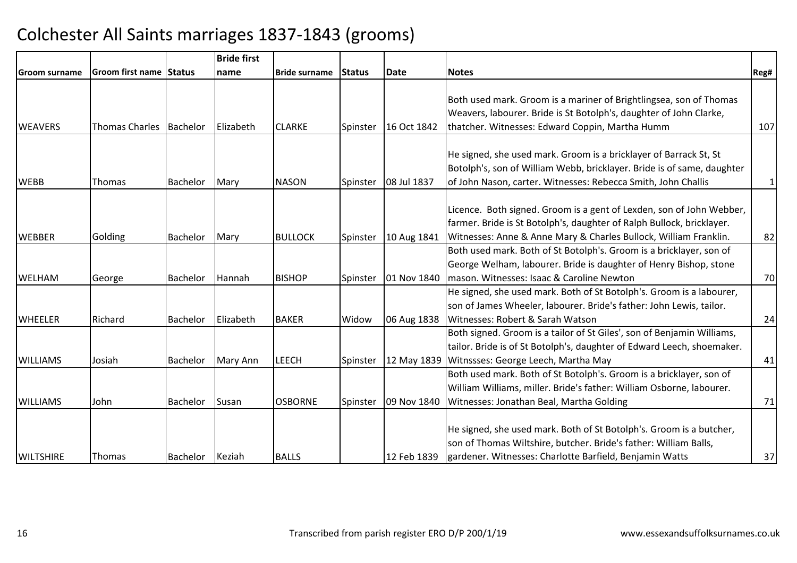|                  |                         |                 | <b>Bride first</b> |                      |                |             |                                                                        |              |
|------------------|-------------------------|-----------------|--------------------|----------------------|----------------|-------------|------------------------------------------------------------------------|--------------|
| Groom surname    | Groom first name Status |                 | Iname              | <b>Bride surname</b> | <b>IStatus</b> | Date        | <b>Notes</b>                                                           | Reg#         |
|                  |                         |                 |                    |                      |                |             |                                                                        |              |
|                  |                         |                 |                    |                      |                |             | Both used mark. Groom is a mariner of Brightlingsea, son of Thomas     |              |
|                  |                         |                 |                    |                      |                |             | Weavers, labourer. Bride is St Botolph's, daughter of John Clarke,     |              |
| <b>WEAVERS</b>   | <b>Thomas Charles</b>   | Bachelor        | <b>IElizabeth</b>  | <b>CLARKE</b>        | Spinster       | 16 Oct 1842 | thatcher. Witnesses: Edward Coppin, Martha Humm                        | 107          |
|                  |                         |                 |                    |                      |                |             |                                                                        |              |
|                  |                         |                 |                    |                      |                |             | He signed, she used mark. Groom is a bricklayer of Barrack St, St      |              |
|                  |                         |                 |                    |                      |                |             | Botolph's, son of William Webb, bricklayer. Bride is of same, daughter |              |
| <b>WEBB</b>      | <b>Thomas</b>           | Bachelor        | Mary               | <b>NASON</b>         | Spinster       | 08 Jul 1837 | of John Nason, carter. Witnesses: Rebecca Smith, John Challis          | $\mathbf{1}$ |
|                  |                         |                 |                    |                      |                |             |                                                                        |              |
|                  |                         |                 |                    |                      |                |             | Licence. Both signed. Groom is a gent of Lexden, son of John Webber,   |              |
|                  |                         |                 |                    |                      |                |             | farmer. Bride is St Botolph's, daughter of Ralph Bullock, bricklayer.  |              |
| <b>WEBBER</b>    | Golding                 | Bachelor        | Mary               | <b>BULLOCK</b>       | Spinster       | 10 Aug 1841 | Witnesses: Anne & Anne Mary & Charles Bullock, William Franklin.       | 82           |
|                  |                         |                 |                    |                      |                |             | Both used mark. Both of St Botolph's. Groom is a bricklayer, son of    |              |
|                  |                         |                 |                    |                      |                |             | George Welham, labourer. Bride is daughter of Henry Bishop, stone      |              |
| <b>WELHAM</b>    | George                  | Bachelor        | Hannah             | <b>BISHOP</b>        | Spinster       | 01 Nov 1840 | mason. Witnesses: Isaac & Caroline Newton                              | 70           |
|                  |                         |                 |                    |                      |                |             | He signed, she used mark. Both of St Botolph's. Groom is a labourer,   |              |
|                  |                         |                 |                    |                      |                |             | son of James Wheeler, labourer. Bride's father: John Lewis, tailor.    |              |
| <b>WHEELER</b>   | Richard                 | <b>Bachelor</b> | Elizabeth          | <b>BAKER</b>         | Widow          | 06 Aug 1838 | Witnesses: Robert & Sarah Watson                                       | 24           |
|                  |                         |                 |                    |                      |                |             | Both signed. Groom is a tailor of St Giles', son of Benjamin Williams, |              |
|                  |                         |                 |                    |                      |                |             | tailor. Bride is of St Botolph's, daughter of Edward Leech, shoemaker. |              |
| <b>WILLIAMS</b>  | Josiah                  | Bachelor        | Mary Ann           | <b>LEECH</b>         | Spinster       | 12 May 1839 | Witnssses: George Leech, Martha May                                    | 41           |
|                  |                         |                 |                    |                      |                |             | Both used mark. Both of St Botolph's. Groom is a bricklayer, son of    |              |
|                  |                         |                 |                    |                      |                |             | William Williams, miller. Bride's father: William Osborne, labourer.   |              |
| <b>WILLIAMS</b>  | John                    | Bachelor        | Susan              | <b>OSBORNE</b>       | Spinster       | 09 Nov 1840 | Witnesses: Jonathan Beal, Martha Golding                               | 71           |
|                  |                         |                 |                    |                      |                |             |                                                                        |              |
|                  |                         |                 |                    |                      |                |             | He signed, she used mark. Both of St Botolph's. Groom is a butcher,    |              |
|                  |                         |                 |                    |                      |                |             | son of Thomas Wiltshire, butcher. Bride's father: William Balls,       |              |
| <b>WILTSHIRE</b> | Thomas                  | Bachelor Keziah |                    | <b>BALLS</b>         |                | 12 Feb 1839 | gardener. Witnesses: Charlotte Barfield, Benjamin Watts                | 37           |